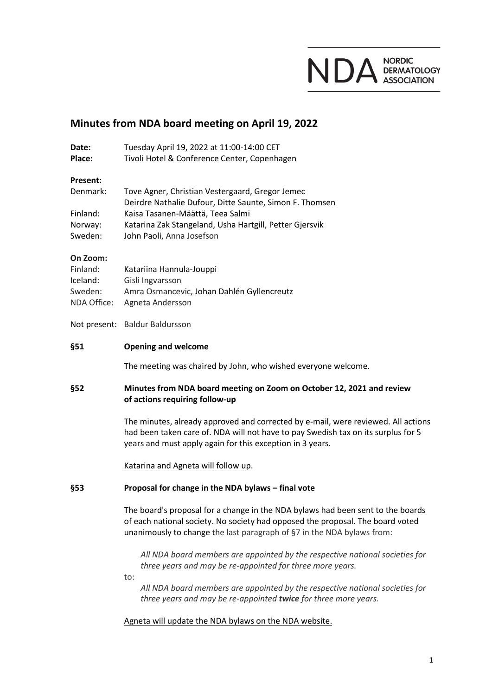

# **Minutes from NDA board meeting on April 19, 2022**

| Date:<br>Place:                                            | Tuesday April 19, 2022 at 11:00-14:00 CET<br>Tivoli Hotel & Conference Center, Copenhagen                                                                                                                                                   |  |
|------------------------------------------------------------|---------------------------------------------------------------------------------------------------------------------------------------------------------------------------------------------------------------------------------------------|--|
| Present:<br>Denmark:<br>Finland:<br>Norway:<br>Sweden:     | Tove Agner, Christian Vestergaard, Gregor Jemec<br>Deirdre Nathalie Dufour, Ditte Saunte, Simon F. Thomsen<br>Kaisa Tasanen-Määttä, Teea Salmi<br>Katarina Zak Stangeland, Usha Hartgill, Petter Gjersvik<br>John Paoli, Anna Josefson      |  |
| On Zoom:<br>Finland:<br>Iceland:<br>Sweden:<br>NDA Office: | Katariina Hannula-Jouppi<br>Gisli Ingvarsson<br>Amra Osmancevic, Johan Dahlén Gyllencreutz<br>Agneta Andersson                                                                                                                              |  |
|                                                            | Not present: Baldur Baldursson                                                                                                                                                                                                              |  |
| §51                                                        | <b>Opening and welcome</b>                                                                                                                                                                                                                  |  |
|                                                            | The meeting was chaired by John, who wished everyone welcome.                                                                                                                                                                               |  |
|                                                            |                                                                                                                                                                                                                                             |  |
| §52                                                        | Minutes from NDA board meeting on Zoom on October 12, 2021 and review<br>of actions requiring follow-up                                                                                                                                     |  |
|                                                            | The minutes, already approved and corrected by e-mail, were reviewed. All actions<br>had been taken care of. NDA will not have to pay Swedish tax on its surplus for 5<br>years and must apply again for this exception in 3 years.         |  |
|                                                            | Katarina and Agneta will follow up.                                                                                                                                                                                                         |  |
| §53                                                        | Proposal for change in the NDA bylaws - final vote                                                                                                                                                                                          |  |
|                                                            | The board's proposal for a change in the NDA bylaws had been sent to the boards<br>of each national society. No society had opposed the proposal. The board voted<br>unanimously to change the last paragraph of §7 in the NDA bylaws from: |  |
|                                                            | All NDA board members are appointed by the respective national societies for<br>three years and may be re-appointed for three more years.<br>to:                                                                                            |  |

# Agneta will update the NDA bylaws on the NDA website.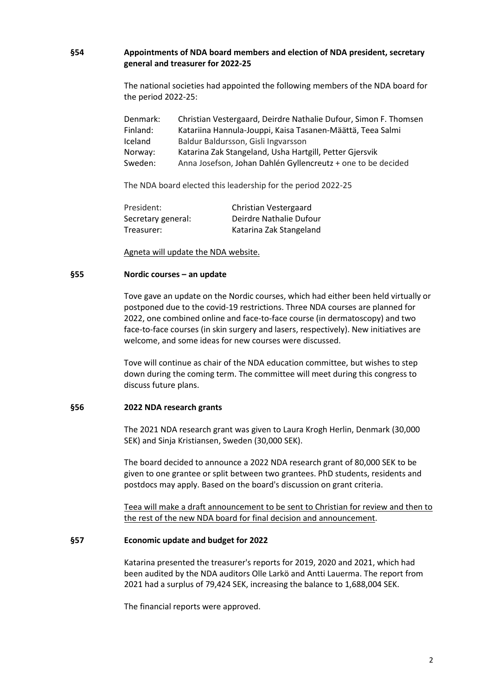## **§54 Appointments of NDA board members and election of NDA president, secretary general and treasurer for 2022-25**

The national societies had appointed the following members of the NDA board for the period 2022-25:

| Denmark: | Christian Vestergaard, Deirdre Nathalie Dufour, Simon F. Thomsen |  |
|----------|------------------------------------------------------------------|--|
| Finland: | Katariina Hannula-Jouppi, Kaisa Tasanen-Määttä, Teea Salmi       |  |
| Iceland  | Baldur Baldursson, Gisli Ingvarsson                              |  |
| Norway:  | Katarina Zak Stangeland, Usha Hartgill, Petter Gjersvik          |  |
| Sweden:  | Anna Josefson, Johan Dahlén Gyllencreutz + one to be decided     |  |

The NDA board elected this leadership for the period 2022-25

| President:         | Christian Vestergaard   |
|--------------------|-------------------------|
| Secretary general: | Deirdre Nathalie Dufour |
| Treasurer:         | Katarina Zak Stangeland |

Agneta will update the NDA website.

#### **§55 Nordic courses – an update**

Tove gave an update on the Nordic courses, which had either been held virtually or postponed due to the covid-19 restrictions. Three NDA courses are planned for 2022, one combined online and face-to-face course (in dermatoscopy) and two face-to-face courses (in skin surgery and lasers, respectively). New initiatives are welcome, and some ideas for new courses were discussed.

Tove will continue as chair of the NDA education committee, but wishes to step down during the coming term. The committee will meet during this congress to discuss future plans.

#### **§56 2022 NDA research grants**

The 2021 NDA research grant was given to Laura Krogh Herlin, Denmark (30,000 SEK) and Sinja Kristiansen, Sweden (30,000 SEK).

The board decided to announce a 2022 NDA research grant of 80,000 SEK to be given to one grantee or split between two grantees. PhD students, residents and postdocs may apply. Based on the board's discussion on grant criteria.

Teea will make a draft announcement to be sent to Christian for review and then to the rest of the new NDA board for final decision and announcement.

#### **§57 Economic update and budget for 2022**

Katarina presented the treasurer's reports for 2019, 2020 and 2021, which had been audited by the NDA auditors Olle Larkö and Antti Lauerma. The report from 2021 had a surplus of 79,424 SEK, increasing the balance to 1,688,004 SEK.

The financial reports were approved.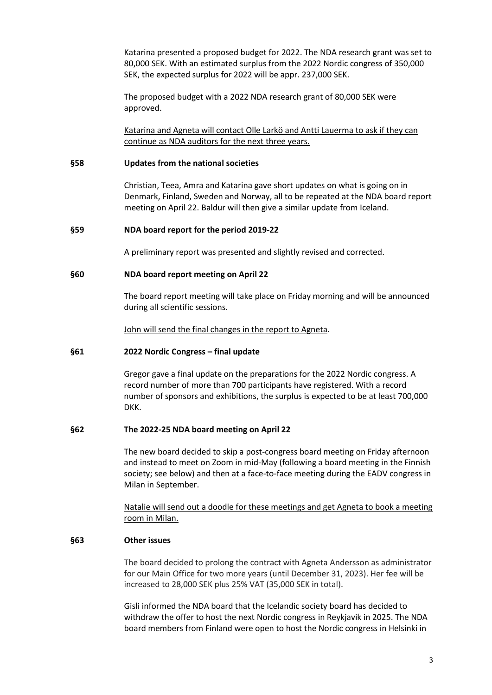Katarina presented a proposed budget for 2022. The NDA research grant was set to 80,000 SEK. With an estimated surplus from the 2022 Nordic congress of 350,000 SEK, the expected surplus for 2022 will be appr. 237,000 SEK.

The proposed budget with a 2022 NDA research grant of 80,000 SEK were approved.

Katarina and Agneta will contact Olle Larkö and Antti Lauerma to ask if they can continue as NDA auditors for the next three years.

#### **§58 Updates from the national societies**

Christian, Teea, Amra and Katarina gave short updates on what is going on in Denmark, Finland, Sweden and Norway, all to be repeated at the NDA board report meeting on April 22. Baldur will then give a similar update from Iceland.

#### **§59 NDA board report for the period 2019-22**

A preliminary report was presented and slightly revised and corrected.

#### **§60 NDA board report meeting on April 22**

The board report meeting will take place on Friday morning and will be announced during all scientific sessions.

John will send the final changes in the report to Agneta.

#### **§61 2022 Nordic Congress – final update**

Gregor gave a final update on the preparations for the 2022 Nordic congress. A record number of more than 700 participants have registered. With a record number of sponsors and exhibitions, the surplus is expected to be at least 700,000 DKK.

#### **§62 The 2022-25 NDA board meeting on April 22**

The new board decided to skip a post-congress board meeting on Friday afternoon and instead to meet on Zoom in mid-May (following a board meeting in the Finnish society; see below) and then at a face-to-face meeting during the EADV congress in Milan in September.

Natalie will send out a doodle for these meetings and get Agneta to book a meeting room in Milan.

### **§63 Other issues**

The board decided to prolong the contract with Agneta Andersson as administrator for our Main Office for two more years (until December 31, 2023). Her fee will be increased to 28,000 SEK plus 25% VAT (35,000 SEK in total).

Gisli informed the NDA board that the Icelandic society board has decided to withdraw the offer to host the next Nordic congress in Reykjavik in 2025. The NDA board members from Finland were open to host the Nordic congress in Helsinki in